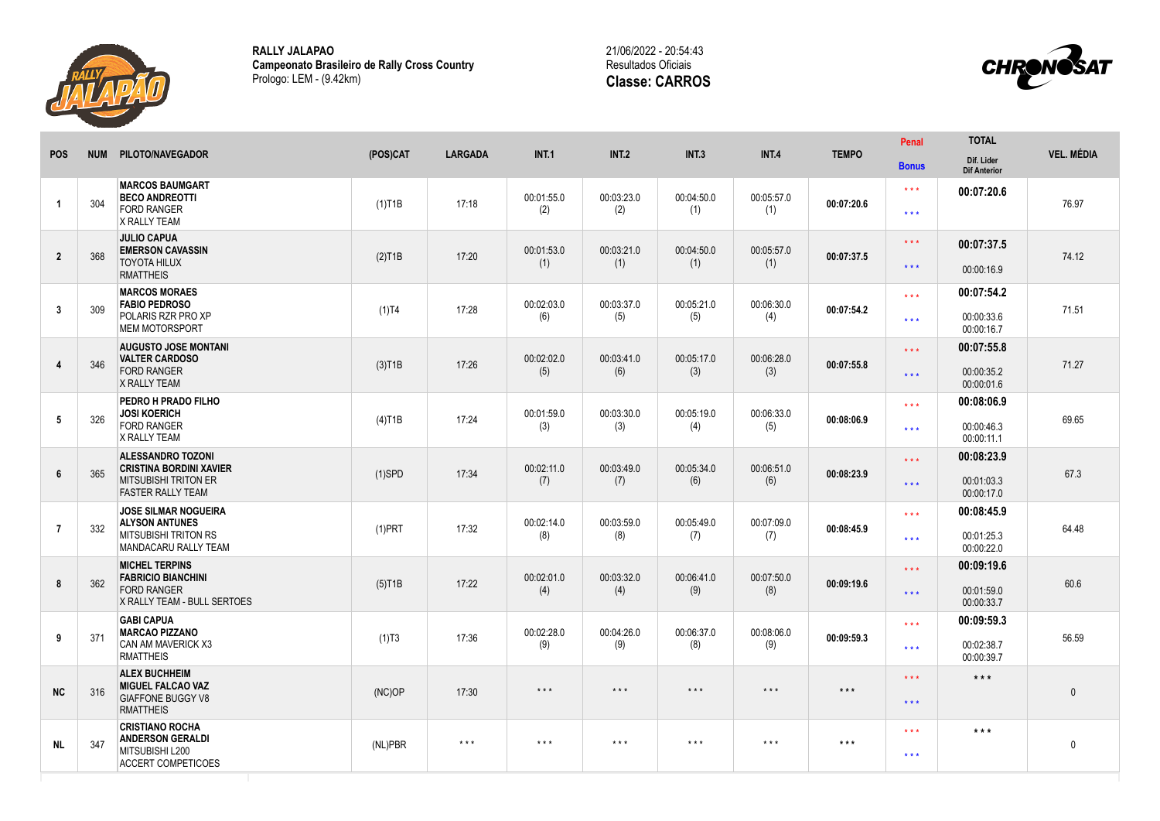

**RALLY JALAPAO Campeonato Brasileiro de Rally Cross Country** Prologo: LEM - (9.42km)





| <b>POS</b>              | <b>NUM</b> | PILOTO/NAVEGADOR                                                                                                      | (POS)CAT  | <b>LARGADA</b>          | <b>INT.1</b>            | <b>INT.2</b>            | INT.3                   | <b>INT.4</b>            | <b>TEMPO</b>      | <b>Penal</b><br><b>Bonus</b>                 | <b>TOTAL</b><br>Dif. Lider<br><b>Dif Anterior</b> | <b>VEL. MÉDIA</b> |
|-------------------------|------------|-----------------------------------------------------------------------------------------------------------------------|-----------|-------------------------|-------------------------|-------------------------|-------------------------|-------------------------|-------------------|----------------------------------------------|---------------------------------------------------|-------------------|
| $\overline{\mathbf{1}}$ | 304        | <b>MARCOS BAUMGART</b><br><b>BECO ANDREOTTI</b><br><b>FORD RANGER</b><br>X RALLY TEAM                                 | $(1)$ T1B | 17:18                   | 00:01:55.0<br>(2)       | 00:03:23.0<br>(2)       | 00:04:50.0<br>(1)       | 00:05:57.0<br>(1)       | 00:07:20.6        | $* * *$<br>$\star\star\star$                 | 00:07:20.6                                        | 76.97             |
| $\overline{2}$          | 368        | <b>JULIO CAPUA</b><br><b>EMERSON CAVASSIN</b><br><b>TOYOTA HILUX</b><br><b>RMATTHEIS</b>                              | $(2)$ T1B | 17:20                   | 00:01:53.0<br>(1)       | 00:03:21.0<br>(1)       | 00:04:50.0<br>(1)       | 00:05:57.0<br>(1)       | 00:07:37.5        | $\star$ $\star$ $\star$<br>$\star\star\star$ | 00:07:37.5<br>00:00:16.9                          | 74.12             |
| 3                       | 309        | <b>MARCOS MORAES</b><br><b>FABIO PEDROSO</b><br>POLARIS RZR PRO XP<br><b>MEM MOTORSPORT</b>                           | $(1)$ T4  | 17:28                   | 00:02:03.0<br>(6)       | 00:03:37.0<br>(5)       | 00:05:21.0<br>(5)       | 00:06:30.0<br>(4)       | 00:07:54.2        | $\star \star \star$<br>$\star \star \star$   | 00:07:54.2<br>00:00:33.6<br>00:00:16.7            | 71.51             |
| 4                       | 346        | <b>AUGUSTO JOSE MONTANI</b><br><b>VALTER CARDOSO</b><br><b>FORD RANGER</b><br>X RALLY TEAM                            | (3)T1B    | 17:26                   | 00:02:02.0<br>(5)       | 00:03:41.0<br>(6)       | 00:05:17.0<br>(3)       | 00:06:28.0<br>(3)       | 00:07:55.8        | $\star\star\star$<br>$\star \star \star$     | 00:07:55.8<br>00:00:35.2<br>00:00:01.6            | 71.27             |
| 5                       | 326        | PEDRO H PRADO FILHO<br><b>JOSI KOERICH</b><br><b>FORD RANGER</b><br>X RALLY TEAM                                      | $(4)$ T1B | 17:24                   | 00:01:59.0<br>(3)       | 00:03:30.0<br>(3)       | 00:05:19.0<br>(4)       | 00:06:33.0<br>(5)       | 00:08:06.9        | $***$<br>$***$                               | 00:08:06.9<br>00:00:46.3<br>00:00:11.1            | 69.65             |
| 6                       | 365        | <b>ALESSANDRO TOZONI</b><br><b>CRISTINA BORDINI XAVIER</b><br><b>MITSUBISHI TRITON ER</b><br><b>FASTER RALLY TEAM</b> | $(1)$ SPD | 17:34                   | 00:02:11.0<br>(7)       | 00:03:49.0<br>(7)       | 00:05:34.0<br>(6)       | 00:06:51.0<br>(6)       | 00:08:23.9        | $\star \star \star$<br>$\star\star\star$     | 00:08:23.9<br>00:01:03.3<br>00:00:17.0            | 67.3              |
| $\overline{7}$          | 332        | <b>JOSE SILMAR NOGUEIRA</b><br><b>ALYSON ANTUNES</b><br><b>MITSUBISHI TRITON RS</b><br>MANDACARU RALLY TEAM           | $(1)$ PRT | 17:32                   | 00:02:14.0<br>(8)       | 00:03:59.0<br>(8)       | 00:05:49.0<br>(7)       | 00:07:09.0<br>(7)       | 00:08:45.9        | $\star \star \star$<br>$\star\star\star$     | 00:08:45.9<br>00:01:25.3<br>00:00:22.0            | 64.48             |
| 8                       | 362        | <b>MICHEL TERPINS</b><br><b>FABRICIO BIANCHINI</b><br><b>FORD RANGER</b><br>X RALLY TEAM - BULL SERTOES               | $(5)$ T1B | 17:22                   | 00:02:01.0<br>(4)       | 00:03:32.0<br>(4)       | 00:06:41.0<br>(9)       | 00:07:50.0<br>(8)       | 00:09:19.6        | $\star\star\star$<br>$\star \star \star$     | 00:09:19.6<br>00:01:59.0<br>00:00:33.7            | 60.6              |
| 9                       | 371        | <b>GABI CAPUA</b><br><b>MARCAO PIZZANO</b><br><b>CAN AM MAVERICK X3</b><br><b>RMATTHEIS</b>                           | (1)T3     | 17:36                   | 00:02:28.0<br>(9)       | 00:04:26.0<br>(9)       | 00:06:37.0<br>(8)       | 00:08:06.0<br>(9)       | 00:09:59.3        | $\star \star \star$<br>$***$                 | 00:09:59.3<br>00:02:38.7<br>00:00:39.7            | 56.59             |
| <b>NC</b>               | 316        | <b>ALEX BUCHHEIM</b><br><b>MIGUEL FALCAO VAZ</b><br><b>GIAFFONE BUGGY V8</b><br><b>RMATTHEIS</b>                      | (NC)OP    | 17:30                   | $\star$ $\star$ $\star$ | $\star$ $\star$ $\star$ | $\star$ $\star$ $\star$ | $\star$ $\star$ $\star$ | $\star\star\star$ | $\star \star \star$<br>$\star\star\star$     | $***$                                             | $\mathbf{0}$      |
| NL.                     | 347        | <b>CRISTIANO ROCHA</b><br><b>ANDERSON GERALDI</b><br>MITSUBISHI L200<br><b>ACCERT COMPETICOES</b>                     | (NL)PBR   | $\star$ $\star$ $\star$ | $\star$ $\star$ $\star$ | $***$                   | $***$                   | $***$                   | $***$             | $* * *$<br>$\star\star\star$                 | $***$                                             | $\mathbf 0$       |